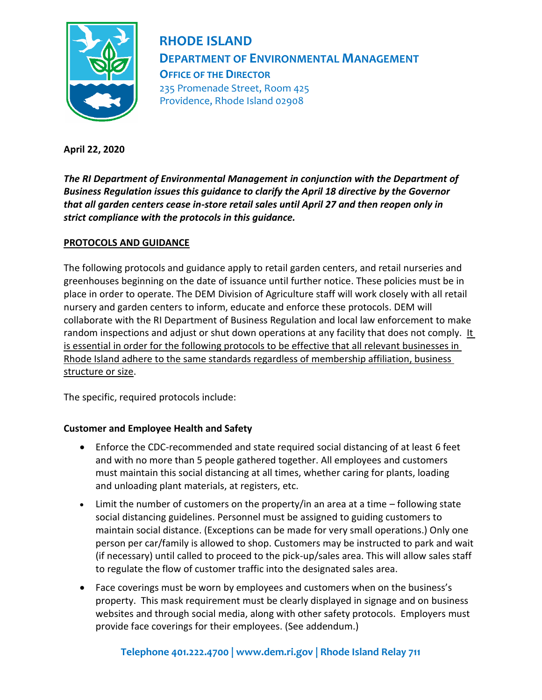

**RHODE ISLAND DEPARTMENT OF ENVIRONMENTAL MANAGEMENT OFFICE OF THE DIRECTOR** 235 Promenade Street, Room 425 Providence, Rhode Island 02908

**April 22, 2020**

*The RI Department of Environmental Management in conjunction with the Department of Business Regulation issues this guidance to clarify the April 18 directive by the Governor that all garden centers cease in-store retail sales until April 27 and then reopen only in strict compliance with the protocols in this guidance.* 

## **PROTOCOLS AND GUIDANCE**

The following protocols and guidance apply to retail garden centers, and retail nurseries and greenhouses beginning on the date of issuance until further notice. These policies must be in place in order to operate. The DEM Division of Agriculture staff will work closely with all retail nursery and garden centers to inform, educate and enforce these protocols. DEM will collaborate with the RI Department of Business Regulation and local law enforcement to make random inspections and adjust or shut down operations at any facility that does not comply. It is essential in order for the following protocols to be effective that all relevant businesses in Rhode Island adhere to the same standards regardless of membership affiliation, business structure or size.

The specific, required protocols include:

## **Customer and Employee Health and Safety**

- Enforce the CDC-recommended and state required social distancing of at least 6 feet and with no more than 5 people gathered together. All employees and customers must maintain this social distancing at all times, whether caring for plants, loading and unloading plant materials, at registers, etc.
- Limit the number of customers on the property/in an area at a time following state social distancing guidelines. Personnel must be assigned to guiding customers to maintain social distance. (Exceptions can be made for very small operations.) Only one person per car/family is allowed to shop. Customers may be instructed to park and wait (if necessary) until called to proceed to the pick-up/sales area. This will allow sales staff to regulate the flow of customer traffic into the designated sales area.
- Face coverings must be worn by employees and customers when on the business's property. This mask requirement must be clearly displayed in signage and on business websites and through social media, along with other safety protocols. Employers must provide face coverings for their employees. (See addendum.)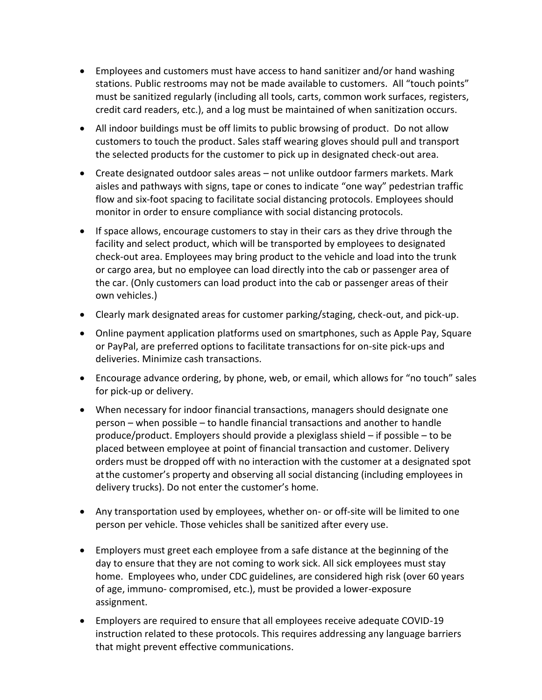- Employees and customers must have access to hand sanitizer and/or hand washing stations. Public restrooms may not be made available to customers. All "touch points" must be sanitized regularly (including all tools, carts, common work surfaces, registers, credit card readers, etc.), and a log must be maintained of when sanitization occurs.
- All indoor buildings must be off limits to public browsing of product. Do not allow customers to touch the product. Sales staff wearing gloves should pull and transport the selected products for the customer to pick up in designated check-out area.
- Create designated outdoor sales areas not unlike outdoor farmers markets. Mark aisles and pathways with signs, tape or cones to indicate "one way" pedestrian traffic flow and six-foot spacing to facilitate social distancing protocols. Employees should monitor in order to ensure compliance with social distancing protocols.
- If space allows, encourage customers to stay in their cars as they drive through the facility and select product, which will be transported by employees to designated check-out area. Employees may bring product to the vehicle and load into the trunk or cargo area, but no employee can load directly into the cab or passenger area of the car. (Only customers can load product into the cab or passenger areas of their own vehicles.)
- Clearly mark designated areas for customer parking/staging, check-out, and pick-up.
- Online payment application platforms used on smartphones, such as Apple Pay, Square or PayPal, are preferred options to facilitate transactions for on-site pick-ups and deliveries. Minimize cash transactions.
- Encourage advance ordering, by phone, web, or email, which allows for "no touch" sales for pick-up or delivery.
- When necessary for indoor financial transactions, managers should designate one person – when possible – to handle financial transactions and another to handle produce/product. Employers should provide a plexiglass shield – if possible – to be placed between employee at point of financial transaction and customer. Delivery orders must be dropped off with no interaction with the customer at a designated spot atthe customer's property and observing all social distancing (including employees in delivery trucks). Do not enter the customer's home.
- Any transportation used by employees, whether on- or off-site will be limited to one person per vehicle. Those vehicles shall be sanitized after every use.
- Employers must greet each employee from a safe distance at the beginning of the day to ensure that they are not coming to work sick. All sick employees must stay home. Employees who, under CDC guidelines, are considered high risk (over 60 years of age, immuno- compromised, etc.), must be provided a lower-exposure assignment.
- Employers are required to ensure that all employees receive adequate COVID-19 instruction related to these protocols. This requires addressing any language barriers that might prevent effective communications.